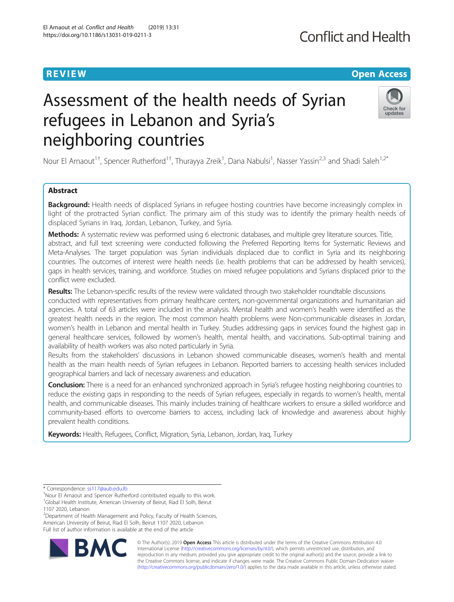# **Conflict and Health**

# **REVIEW CONTROL** CONTROL CONTROL CONTROL CONTROL CONTROL CONTROL CONTROL CONTROL CONTROL CONTROL CONTROL CONTROL

# Assessment of the health needs of Syrian refugees in Lebanon and Syria's neighboring countries



Nour El Arnaout<sup>1†</sup>, Spencer Rutherford<sup>1†</sup>, Thurayya Zreik<sup>1</sup>, Dana Nabulsi<sup>1</sup>, Nasser Yassin<sup>2,3</sup> and Shadi Saleh<sup>1,2\*</sup>

# Abstract

Background: Health needs of displaced Syrians in refugee hosting countries have become increasingly complex in light of the protracted Syrian conflict. The primary aim of this study was to identify the primary health needs of displaced Syrians in Iraq, Jordan, Lebanon, Turkey, and Syria.

Methods: A systematic review was performed using 6 electronic databases, and multiple grey literature sources. Title, abstract, and full text screening were conducted following the Preferred Reporting Items for Systematic Reviews and Meta-Analyses. The target population was Syrian individuals displaced due to conflict in Syria and its neighboring countries. The outcomes of interest were health needs (i.e. health problems that can be addressed by health services), gaps in health services, training, and workforce. Studies on mixed refugee populations and Syrians displaced prior to the conflict were excluded.

Results: The Lebanon-specific results of the review were validated through two stakeholder roundtable discussions conducted with representatives from primary healthcare centers, non-governmental organizations and humanitarian aid agencies. A total of 63 articles were included in the analysis. Mental health and women's health were identified as the greatest health needs in the region. The most common health problems were Non-communicable diseases in Jordan, women's health in Lebanon and mental health in Turkey. Studies addressing gaps in services found the highest gap in general healthcare services, followed by women's health, mental health, and vaccinations. Sub-optimal training and availability of health workers was also noted particularly in Syria.

Results from the stakeholders' discussions in Lebanon showed communicable diseases, women's health and mental health as the main health needs of Syrian refugees in Lebanon. Reported barriers to accessing health services included geographical barriers and lack of necessary awareness and education.

**Conclusion:** There is a need for an enhanced synchronized approach in Syria's refugee hosting neighboring countries to reduce the existing gaps in responding to the needs of Syrian refugees, especially in regards to women's health, mental health, and communicable diseases. This mainly includes training of healthcare workers to ensure a skilled workforce and community-based efforts to overcome barriers to access, including lack of knowledge and awareness about highly prevalent health conditions.

Keywords: Health, Refugees, Conflict, Migration, Syria, Lebanon, Jordan, Iraq, Turkey

<sup>2</sup>Department of Health Management and Policy, Faculty of Health Sciences, American University of Beirut, Riad El Solh, Beirut 1107 2020, Lebanon Full list of author information is available at the end of the article



© The Author(s). 2019 **Open Access** This article is distributed under the terms of the Creative Commons Attribution 4.0 International License [\(http://creativecommons.org/licenses/by/4.0/](http://creativecommons.org/licenses/by/4.0/)), which permits unrestricted use, distribution, and reproduction in any medium, provided you give appropriate credit to the original author(s) and the source, provide a link to the Creative Commons license, and indicate if changes were made. The Creative Commons Public Domain Dedication waiver [\(http://creativecommons.org/publicdomain/zero/1.0/](http://creativecommons.org/publicdomain/zero/1.0/)) applies to the data made available in this article, unless otherwise stated.

<sup>\*</sup> Correspondence: [ss117@aub.edu.lb](mailto:ss117@aub.edu.lb) †

Nour El Arnaout and Spencer Rutherford contributed equally to this work. <sup>1</sup>Global Health Institute, American University of Beirut, Riad El Solh, Beirut

<sup>1107 2020,</sup> Lebanon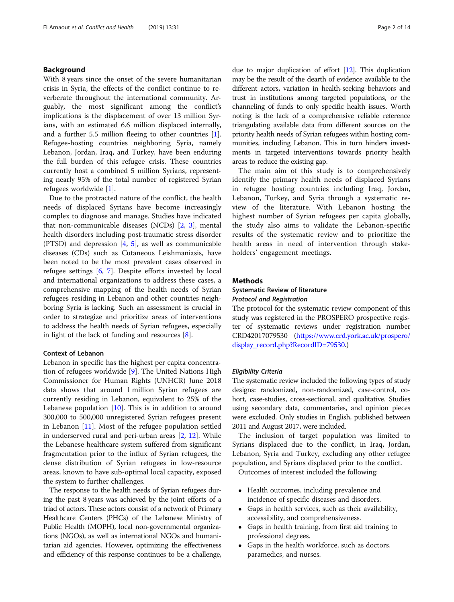# Background

With 8 years since the onset of the severe humanitarian crisis in Syria, the effects of the conflict continue to reverberate throughout the international community. Arguably, the most significant among the conflict's implications is the displacement of over 13 million Syrians, with an estimated 6.6 million displaced internally, and a further 5.5 million fleeing to other countries [\[1](#page-11-0)]. Refugee-hosting countries neighboring Syria, namely Lebanon, Jordan, Iraq, and Turkey, have been enduring the full burden of this refugee crisis. These countries currently host a combined 5 million Syrians, representing nearly 95% of the total number of registered Syrian refugees worldwide [[1\]](#page-11-0).

Due to the protracted nature of the conflict, the health needs of displaced Syrians have become increasingly complex to diagnose and manage. Studies have indicated that non-communicable diseases (NCDs) [[2](#page-11-0), [3\]](#page-11-0), mental health disorders including post-traumatic stress disorder (PTSD) and depression [[4,](#page-11-0) [5\]](#page-11-0), as well as communicable diseases (CDs) such as Cutaneous Leishmaniasis, have been noted to be the most prevalent cases observed in refugee settings [\[6](#page-11-0), [7](#page-12-0)]. Despite efforts invested by local and international organizations to address these cases, a comprehensive mapping of the health needs of Syrian refugees residing in Lebanon and other countries neighboring Syria is lacking. Such an assessment is crucial in order to strategize and prioritize areas of interventions to address the health needs of Syrian refugees, especially in light of the lack of funding and resources  $[8]$  $[8]$ .

#### Context of Lebanon

Lebanon in specific has the highest per capita concentration of refugees worldwide [\[9](#page-12-0)]. The United Nations High Commissioner for Human Rights (UNHCR) June 2018 data shows that around 1 million Syrian refugees are currently residing in Lebanon, equivalent to 25% of the Lebanese population [[10\]](#page-12-0). This is in addition to around 300,000 to 500,000 unregistered Syrian refugees present in Lebanon [[11](#page-12-0)]. Most of the refugee population settled in underserved rural and peri-urban areas [[2,](#page-11-0) [12](#page-12-0)]. While the Lebanese healthcare system suffered from significant fragmentation prior to the influx of Syrian refugees, the dense distribution of Syrian refugees in low-resource areas, known to have sub-optimal local capacity, exposed the system to further challenges.

The response to the health needs of Syrian refugees during the past 8 years was achieved by the joint efforts of a triad of actors. These actors consist of a network of Primary Healthcare Centers (PHCs) of the Lebanese Ministry of Public Health (MOPH), local non-governmental organizations (NGOs), as well as international NGOs and humanitarian aid agencies. However, optimizing the effectiveness and efficiency of this response continues to be a challenge, due to major duplication of effort [\[12\]](#page-12-0). This duplication may be the result of the dearth of evidence available to the different actors, variation in health-seeking behaviors and trust in institutions among targeted populations, or the channeling of funds to only specific health issues. Worth noting is the lack of a comprehensive reliable reference triangulating available data from different sources on the priority health needs of Syrian refugees within hosting communities, including Lebanon. This in turn hinders investments in targeted interventions towards priority health areas to reduce the existing gap.

The main aim of this study is to comprehensively identify the primary health needs of displaced Syrians in refugee hosting countries including Iraq, Jordan, Lebanon, Turkey, and Syria through a systematic review of the literature. With Lebanon hosting the highest number of Syrian refugees per capita globally, the study also aims to validate the Lebanon-specific results of the systematic review and to prioritize the health areas in need of intervention through stakeholders' engagement meetings.

#### Methods

# Systematic Review of literature Protocol and Registration

The protocol for the systematic review component of this study was registered in the PROSPERO prospective register of systematic reviews under registration number CRD42017079530 ([https://www.crd.york.ac.uk/prospero/](https://www.crd.york.ac.uk/prospero/display_record.php?RecordID=79530) [display\\_record.php?RecordID=79530](https://www.crd.york.ac.uk/prospero/display_record.php?RecordID=79530).)

#### Eligibility Criteria

The systematic review included the following types of study designs: randomized, non-randomized, case-control, cohort, case-studies, cross-sectional, and qualitative. Studies using secondary data, commentaries, and opinion pieces were excluded. Only studies in English, published between 2011 and August 2017, were included.

The inclusion of target population was limited to Syrians displaced due to the conflict, in Iraq, Jordan, Lebanon, Syria and Turkey, excluding any other refugee population, and Syrians displaced prior to the conflict.

Outcomes of interest included the following:

- Health outcomes, including prevalence and incidence of specific diseases and disorders.
- Gaps in health services, such as their availability, accessibility, and comprehensiveness.
- Gaps in health training, from first aid training to professional degrees.
- Gaps in the health workforce, such as doctors, paramedics, and nurses.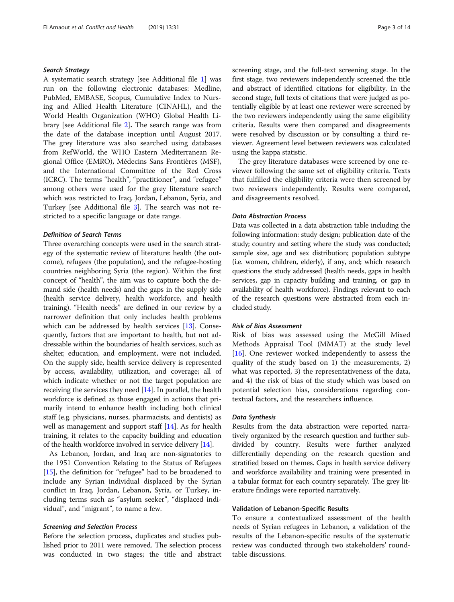#### Search Strategy

A systematic search strategy [see Additional file [1](#page-11-0)] was run on the following electronic databases: Medline, PubMed, EMBASE, Scopus, Cumulative Index to Nursing and Allied Health Literature (CINAHL), and the World Health Organization (WHO) Global Health Library [see Additional file [2\]](#page-11-0). The search range was from the date of the database inception until August 2017. The grey literature was also searched using databases from RefWorld, the WHO Eastern Mediterranean Regional Office (EMRO), Médecins Sans Frontières (MSF), and the International Committee of the Red Cross (ICRC). The terms "health", "practitioner", and "refugee" among others were used for the grey literature search which was restricted to Iraq, Jordan, Lebanon, Syria, and Turkey [see Additional file [3](#page-11-0)]. The search was not restricted to a specific language or date range.

#### Definition of Search Terms

Three overarching concepts were used in the search strategy of the systematic review of literature: health (the outcome), refugees (the population), and the refugee-hosting countries neighboring Syria (the region). Within the first concept of "health", the aim was to capture both the demand side (health needs) and the gaps in the supply side (health service delivery, health workforce, and health training). "Health needs" are defined in our review by a narrower definition that only includes health problems which can be addressed by health services [[13](#page-12-0)]. Consequently, factors that are important to health, but not addressable within the boundaries of health services, such as shelter, education, and employment, were not included. On the supply side, health service delivery is represented by access, availability, utilization, and coverage; all of which indicate whether or not the target population are receiving the services they need [\[14](#page-12-0)]. In parallel, the health workforce is defined as those engaged in actions that primarily intend to enhance health including both clinical staff (e.g. physicians, nurses, pharmacists, and dentists) as well as management and support staff [[14](#page-12-0)]. As for health training, it relates to the capacity building and education of the health workforce involved in service delivery [[14](#page-12-0)].

As Lebanon, Jordan, and Iraq are non-signatories to the 1951 Convention Relating to the Status of Refugees [[15\]](#page-12-0), the definition for "refugee" had to be broadened to include any Syrian individual displaced by the Syrian conflict in Iraq, Jordan, Lebanon, Syria, or Turkey, including terms such as "asylum seeker", "displaced individual", and "migrant", to name a few.

#### Screening and Selection Process

Before the selection process, duplicates and studies published prior to 2011 were removed. The selection process was conducted in two stages; the title and abstract screening stage, and the full-text screening stage. In the first stage, two reviewers independently screened the title and abstract of identified citations for eligibility. In the second stage, full texts of citations that were judged as potentially eligible by at least one reviewer were screened by the two reviewers independently using the same eligibility criteria. Results were then compared and disagreements were resolved by discussion or by consulting a third reviewer. Agreement level between reviewers was calculated using the kappa statistic.

The grey literature databases were screened by one reviewer following the same set of eligibility criteria. Texts that fulfilled the eligibility criteria were then screened by two reviewers independently. Results were compared, and disagreements resolved.

#### Data Abstraction Process

Data was collected in a data abstraction table including the following information: study design; publication date of the study; country and setting where the study was conducted; sample size, age and sex distribution; population subtype (i.e. women, children, elderly), if any, and; which research questions the study addressed (health needs, gaps in health services, gap in capacity building and training, or gap in availability of health workforce). Findings relevant to each of the research questions were abstracted from each included study.

# Risk of Bias Assessment

Risk of bias was assessed using the McGill Mixed Methods Appraisal Tool (MMAT) at the study level [[16\]](#page-12-0). One reviewer worked independently to assess the quality of the study based on 1) the measurements, 2) what was reported, 3) the representativeness of the data, and 4) the risk of bias of the study which was based on potential selection bias, considerations regarding contextual factors, and the researchers influence.

#### Data Synthesis

Results from the data abstraction were reported narratively organized by the research question and further subdivided by country. Results were further analyzed differentially depending on the research question and stratified based on themes. Gaps in health service delivery and workforce availability and training were presented in a tabular format for each country separately. The grey literature findings were reported narratively.

#### Validation of Lebanon-Specific Results

To ensure a contextualized assessment of the health needs of Syrian refugees in Lebanon, a validation of the results of the Lebanon-specific results of the systematic review was conducted through two stakeholders' roundtable discussions.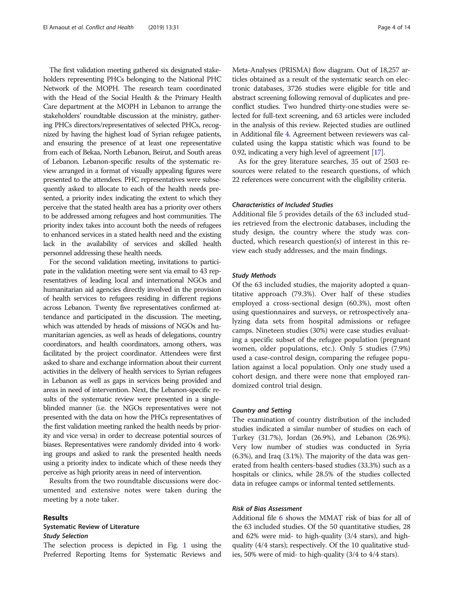The first validation meeting gathered six designated stakeholders representing PHCs belonging to the National PHC Network of the MOPH. The research team coordinated with the Head of the Social Health & the Primary Health Care department at the MOPH in Lebanon to arrange the stakeholders' roundtable discussion at the ministry, gathering PHCs directors/representatives of selected PHCs, recognized by having the highest load of Syrian refugee patients, and ensuring the presence of at least one representative from each of Bekaa, North Lebanon, Beirut, and South areas of Lebanon. Lebanon-specific results of the systematic review arranged in a format of visually appealing figures were presented to the attendees. PHC representatives were subsequently asked to allocate to each of the health needs presented, a priority index indicating the extent to which they perceive that the stated health area has a priority over others to be addressed among refugees and host communities. The priority index takes into account both the needs of refugees to enhanced services in a stated health need and the existing lack in the availability of services and skilled health personnel addressing these health needs.

For the second validation meeting, invitations to participate in the validation meeting were sent via email to 43 representatives of leading local and international NGOs and humanitarian aid agencies directly involved in the provision of health services to refugees residing in different regions across Lebanon. Twenty five representatives confirmed attendance and participated in the discussion. The meeting, which was attended by heads of missions of NGOs and humanitarian agencies, as well as heads of delegations, country coordinators, and health coordinators, among others, was facilitated by the project coordinator. Attendees were first asked to share and exchange information about their current activities in the delivery of health services to Syrian refugees in Lebanon as well as gaps in services being provided and areas in need of intervention. Next, the Lebanon-specific results of the systematic review were presented in a singleblinded manner (i.e. the NGOs representatives were not presented with the data on how the PHCs representatives of the first validation meeting ranked the health needs by priority and vice versa) in order to decrease potential sources of biases. Representatives were randomly divided into 4 working groups and asked to rank the presented health needs using a priority index to indicate which of these needs they perceive as high priority areas in need of intervention.

Results from the two roundtable discussions were documented and extensive notes were taken during the meeting by a note taker.

#### Results

# Systematic Review of Literature Study Selection

The selection process is depicted in Fig. [1](#page-4-0) using the Preferred Reporting Items for Systematic Reviews and

Meta-Analyses (PRISMA) flow diagram. Out of 18,257 articles obtained as a result of the systematic search on electronic databases, 3726 studies were eligible for title and abstract screening following removal of duplicates and preconflict studies. Two hundred thirty-one studies were selected for full-text screening, and 63 articles were included in the analysis of this review. Rejected studies are outlined in Additional file [4](#page-11-0). Agreement between reviewers was calculated using the kappa statistic which was found to be 0.92, indicating a very high level of agreement [[17](#page-12-0)].

As for the grey literature searches, 35 out of 2503 resources were related to the research questions, of which 22 references were concurrent with the eligibility criteria.

#### Characteristics of Included Studies

Additional file [5](#page-11-0) provides details of the 63 included studies retrieved from the electronic databases, including the study design, the country where the study was conducted, which research question(s) of interest in this review each study addresses, and the main findings.

#### Study Methods

Of the 63 included studies, the majority adopted a quantitative approach (79.3%). Over half of these studies employed a cross-sectional design (60.3%), most often using questionnaires and surveys, or retrospectively analyzing data sets from hospital admissions or refugee camps. Nineteen studies (30%) were case studies evaluating a specific subset of the refugee population (pregnant women, older populations, etc.). Only 5 studies (7.9%) used a case-control design, comparing the refugee population against a local population. Only one study used a cohort design, and there were none that employed randomized control trial design.

#### Country and Setting

The examination of country distribution of the included studies indicated a similar number of studies on each of Turkey (31.7%), Jordan (26.9%), and Lebanon (26.9%). Very low number of studies was conducted in Syria (6.3%), and Iraq (3.1%). The majority of the data was generated from health centers-based studies (33.3%) such as a hospitals or clinics, while 28.5% of the studies collected data in refugee camps or informal tented settlements.

#### Risk of Bias Assessment

Additional file [6](#page-11-0) shows the MMAT risk of bias for all of the 63 included studies. Of the 50 quantitative studies, 28 and 62% were mid- to high-quality (3/4 stars), and highquality (4/4 stars); respectively. Of the 10 qualitative studies, 50% were of mid- to high-quality (3/4 to 4/4 stars).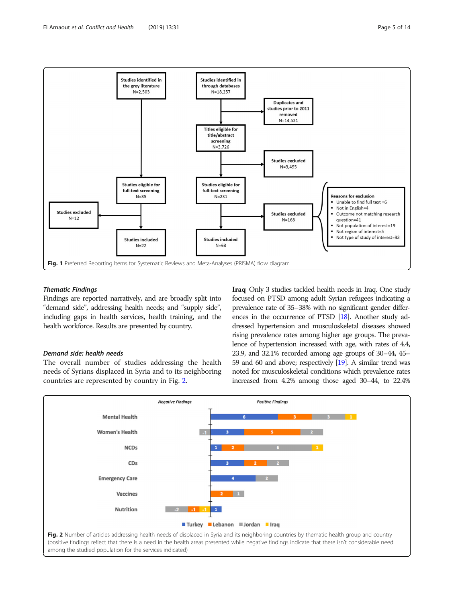<span id="page-4-0"></span>

# Thematic Findings

Findings are reported narratively, and are broadly split into "demand side", addressing health needs; and "supply side", including gaps in health services, health training, and the health workforce. Results are presented by country.

# Demand side: health needs

The overall number of studies addressing the health needs of Syrians displaced in Syria and to its neighboring countries are represented by country in Fig. 2.

Iraq Only 3 studies tackled health needs in Iraq. One study focused on PTSD among adult Syrian refugees indicating a prevalence rate of 35–38% with no significant gender differences in the occurrence of PTSD [[18\]](#page-12-0). Another study addressed hypertension and musculoskeletal diseases showed rising prevalence rates among higher age groups. The prevalence of hypertension increased with age, with rates of 4.4, 23.9, and 32.1% recorded among age groups of 30–44, 45– 59 and 60 and above; respectively [\[19\]](#page-12-0). A similar trend was noted for musculoskeletal conditions which prevalence rates increased from 4.2% among those aged 30–44, to 22.4%

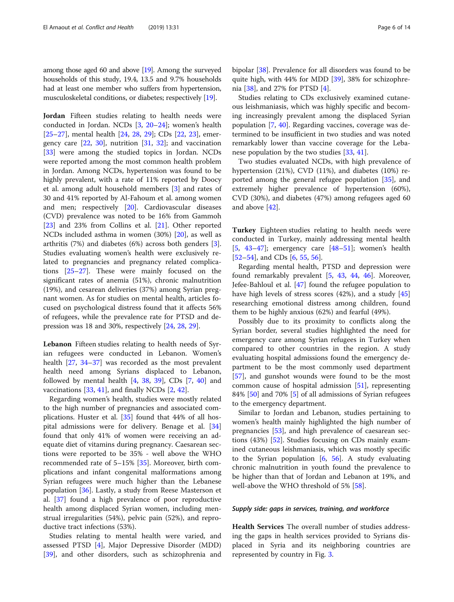among those aged 60 and above [\[19](#page-12-0)]. Among the surveyed households of this study, 19.4, 13.5 and 9.7% households had at least one member who suffers from hypertension, musculoskeletal conditions, or diabetes; respectively [\[19\]](#page-12-0).

Jordan Fifteen studies relating to health needs were conducted in Jordan. NCDs [[3](#page-11-0), [20](#page-12-0)–[24](#page-12-0)]; women's health [[25](#page-12-0)–[27](#page-12-0)], mental health [[24,](#page-12-0) [28](#page-12-0), [29\]](#page-12-0); CDs [\[22](#page-12-0), [23\]](#page-12-0), emergency care  $[22, 30]$  $[22, 30]$  $[22, 30]$  $[22, 30]$  $[22, 30]$ , nutrition  $[31, 32]$  $[31, 32]$  $[31, 32]$  $[31, 32]$  $[31, 32]$ ; and vaccination [[33\]](#page-12-0) were among the studied topics in Jordan. NCDs were reported among the most common health problem in Jordan. Among NCDs, hypertension was found to be highly prevalent, with a rate of 11% reported by Doocy et al. among adult household members [\[3](#page-11-0)] and rates of 30 and 41% reported by Al-Fahoum et al. among women and men; respectively [\[20](#page-12-0)]. Cardiovascular diseases (CVD) prevalence was noted to be 16% from Gammoh [[23\]](#page-12-0) and 23% from Collins et al. [[21](#page-12-0)]. Other reported NCDs included asthma in women (30%) [[20\]](#page-12-0), as well as arthritis (7%) and diabetes (6%) across both genders [\[3](#page-11-0)]. Studies evaluating women's health were exclusively related to pregnancies and pregnancy related complications [[25](#page-12-0)–[27](#page-12-0)]. These were mainly focused on the significant rates of anemia (51%), chronic malnutrition (19%), and cesarean deliveries (37%) among Syrian pregnant women. As for studies on mental health, articles focused on psychological distress found that it affects 56% of refugees, while the prevalence rate for PTSD and depression was 18 and 30%, respectively [[24,](#page-12-0) [28,](#page-12-0) [29](#page-12-0)].

Lebanon Fifteen studies relating to health needs of Syrian refugees were conducted in Lebanon. Women's health [\[27](#page-12-0), [34](#page-12-0)–[37](#page-12-0)] was recorded as the most prevalent health need among Syrians displaced to Lebanon, followed by mental health  $[4, 38, 39]$  $[4, 38, 39]$  $[4, 38, 39]$  $[4, 38, 39]$  $[4, 38, 39]$  $[4, 38, 39]$  $[4, 38, 39]$ , CDs  $[7, 40]$  $[7, 40]$  $[7, 40]$  $[7, 40]$  and vaccinations [[33,](#page-12-0) [41\]](#page-12-0), and finally NCDs [[2,](#page-11-0) [42\]](#page-12-0).

Regarding women's health, studies were mostly related to the high number of pregnancies and associated complications. Huster et al. [[35](#page-12-0)] found that 44% of all hospital admissions were for delivery. Benage et al. [[34](#page-12-0)] found that only 41% of women were receiving an adequate diet of vitamins during pregnancy. Caesarean sections were reported to be 35% - well above the WHO recommended rate of 5–15% [[35\]](#page-12-0). Moreover, birth complications and infant congenital malformations among Syrian refugees were much higher than the Lebanese population [\[36\]](#page-12-0). Lastly, a study from Reese Masterson et al. [[37\]](#page-12-0) found a high prevalence of poor reproductive health among displaced Syrian women, including menstrual irregularities (54%), pelvic pain (52%), and reproductive tract infections (53%).

Studies relating to mental health were varied, and assessed PTSD [\[4](#page-11-0)], Major Depressive Disorder (MDD) [[39\]](#page-12-0), and other disorders, such as schizophrenia and

bipolar [[38](#page-12-0)]. Prevalence for all disorders was found to be quite high, with 44% for MDD [[39\]](#page-12-0), 38% for schizophrenia [\[38](#page-12-0)], and 27% for PTSD [[4\]](#page-11-0).

Studies relating to CDs exclusively examined cutaneous leishmaniasis, which was highly specific and becoming increasingly prevalent among the displaced Syrian population [\[7](#page-12-0), [40](#page-12-0)]. Regarding vaccines, coverage was determined to be insufficient in two studies and was noted remarkably lower than vaccine coverage for the Lebanese population by the two studies [\[33](#page-12-0), [41](#page-12-0)].

Two studies evaluated NCDs, with high prevalence of hypertension (21%), CVD (11%), and diabetes (10%) re-ported among the general refugee population [\[35\]](#page-12-0), and extremely higher prevalence of hypertension (60%), CVD (30%), and diabetes (47%) among refugees aged 60 and above [\[42](#page-12-0)].

Turkey Eighteen studies relating to health needs were conducted in Turkey, mainly addressing mental health [[5,](#page-11-0) [43](#page-12-0)–[47\]](#page-12-0); emergency care  $[48-51]$  $[48-51]$  $[48-51]$  $[48-51]$  $[48-51]$ ; women's health [[52](#page-12-0)–[54](#page-12-0)], and CDs [\[6](#page-11-0), [55](#page-12-0), [56](#page-12-0)].

Regarding mental health, PTSD and depression were found remarkably prevalent [[5,](#page-11-0) [43,](#page-12-0) [44,](#page-12-0) [46\]](#page-12-0). Moreover, Jefee-Bahloul et al. [\[47\]](#page-12-0) found the refugee population to have high levels of stress scores (42%), and a study [[45](#page-12-0)] researching emotional distress among children, found them to be highly anxious (62%) and fearful (49%).

Possibly due to its proximity to conflicts along the Syrian border, several studies highlighted the need for emergency care among Syrian refugees in Turkey when compared to other countries in the region. A study evaluating hospital admissions found the emergency department to be the most commonly used department [[57\]](#page-12-0), and gunshot wounds were found to be the most common cause of hospital admission [[51](#page-12-0)], representing 84% [\[50](#page-12-0)] and 70% [[5\]](#page-11-0) of all admissions of Syrian refugees to the emergency department.

Similar to Jordan and Lebanon, studies pertaining to women's health mainly highlighted the high number of pregnancies [\[53\]](#page-12-0), and high prevalence of caesarean sections (43%) [[52\]](#page-12-0). Studies focusing on CDs mainly examined cutaneous leishmaniasis, which was mostly specific to the Syrian population  $[6, 56]$  $[6, 56]$  $[6, 56]$  $[6, 56]$ . A study evaluating chronic malnutrition in youth found the prevalence to be higher than that of Jordan and Lebanon at 19%, and well-above the WHO threshold of 5% [\[58](#page-12-0)].

#### Supply side: gaps in services, training, and workforce

Health Services The overall number of studies addressing the gaps in health services provided to Syrians displaced in Syria and its neighboring countries are represented by country in Fig. [3.](#page-6-0)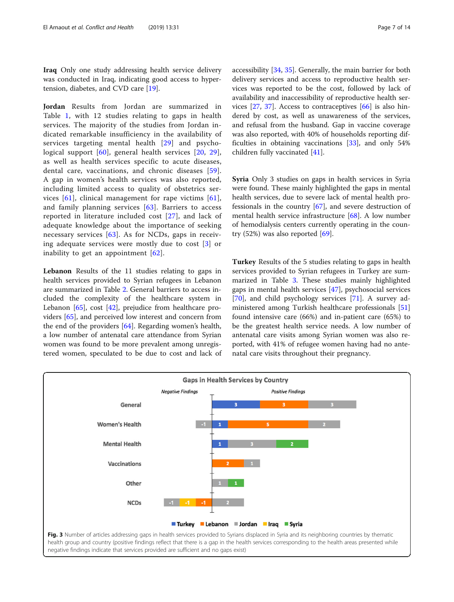<span id="page-6-0"></span>Iraq Only one study addressing health service delivery was conducted in Iraq, indicating good access to hypertension, diabetes, and CVD care [[19\]](#page-12-0).

Jordan Results from Jordan are summarized in Table [1](#page-7-0), with 12 studies relating to gaps in health services. The majority of the studies from Jordan indicated remarkable insufficiency in the availability of services targeting mental health [[29\]](#page-12-0) and psycho-logical support [[60\]](#page-12-0), general health services [[20,](#page-12-0) [29](#page-12-0)], as well as health services specific to acute diseases, dental care, vaccinations, and chronic diseases [[59](#page-12-0)]. A gap in women's health services was also reported, including limited access to quality of obstetrics services [[61\]](#page-12-0), clinical management for rape victims [[61](#page-12-0)], and family planning services [[63\]](#page-13-0). Barriers to access reported in literature included cost [\[27\]](#page-12-0), and lack of adequate knowledge about the importance of seeking necessary services [[63](#page-13-0)]. As for NCDs, gaps in receiving adequate services were mostly due to cost [[3\]](#page-11-0) or inability to get an appointment  $[62]$  $[62]$  $[62]$ .

Lebanon Results of the 11 studies relating to gaps in health services provided to Syrian refugees in Lebanon are summarized in Table [2.](#page-7-0) General barriers to access included the complexity of the healthcare system in Lebanon [\[65](#page-13-0)], cost [\[42\]](#page-12-0), prejudice from healthcare providers [\[65\]](#page-13-0), and perceived low interest and concern from the end of the providers [\[64](#page-13-0)]. Regarding women's health, a low number of antenatal care attendance from Syrian women was found to be more prevalent among unregistered women, speculated to be due to cost and lack of accessibility [[34,](#page-12-0) [35](#page-12-0)]. Generally, the main barrier for both delivery services and access to reproductive health services was reported to be the cost, followed by lack of availability and inaccessibility of reproductive health services [\[27](#page-12-0), [37\]](#page-12-0). Access to contraceptives [\[66\]](#page-13-0) is also hindered by cost, as well as unawareness of the services, and refusal from the husband. Gap in vaccine coverage was also reported, with 40% of households reporting difficulties in obtaining vaccinations [[33\]](#page-12-0), and only 54% children fully vaccinated [[41\]](#page-12-0).

Syria Only 3 studies on gaps in health services in Syria were found. These mainly highlighted the gaps in mental health services, due to severe lack of mental health professionals in the country [[67\]](#page-13-0), and severe destruction of mental health service infrastructure [\[68](#page-13-0)]. A low number of hemodialysis centers currently operating in the country  $(52%)$  was also reported  $[69]$  $[69]$ .

Turkey Results of the 5 studies relating to gaps in health services provided to Syrian refugees in Turkey are summarized in Table [3.](#page-8-0) These studies mainly highlighted gaps in mental health services [\[47](#page-12-0)], psychosocial services [[70\]](#page-13-0), and child psychology services [\[71](#page-13-0)]. A survey administered among Turkish healthcare professionals [[51](#page-12-0)] found intensive care (66%) and in-patient care (65%) to be the greatest health service needs. A low number of antenatal care visits among Syrian women was also reported, with 41% of refugee women having had no antenatal care visits throughout their pregnancy.

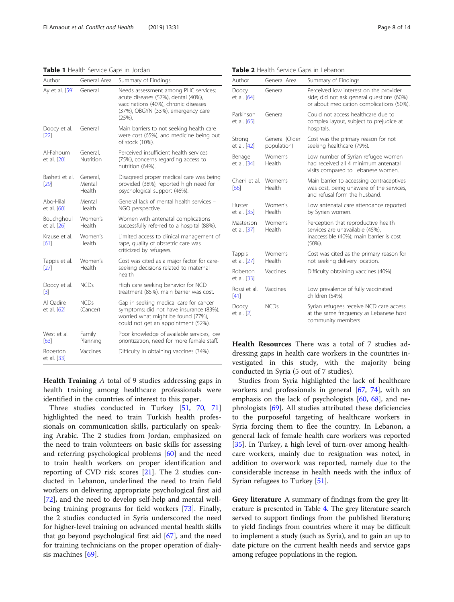#### <span id="page-7-0"></span>Table 1 Health Service Gaps in Jordan

| Author                            | General Area                 | Summary of Findings                                                                                                                                                    |
|-----------------------------------|------------------------------|------------------------------------------------------------------------------------------------------------------------------------------------------------------------|
| Ay et al. [59]                    | General                      | Needs assessment among PHC services;<br>acute diseases (57%), dental (40%),<br>vaccinations (40%), chronic diseases<br>(37%), OBGYN (33%), emergency care<br>$(25%)$ . |
| Doocy et al.<br>$[22]$            | General                      | Main barriers to not seeking health care<br>were cost (65%), and medicine being out<br>of stock (10%).                                                                 |
| Al-Fahoum<br>et al. [20]          | General,<br>Nutrition        | Perceived insufficient health services<br>(75%), concerns regarding access to<br>nutrition (64%).                                                                      |
| Basheti et al.<br>[29]            | General.<br>Mental<br>Health | Disagreed proper medical care was being<br>provided (38%), reported high need for<br>psychological support (46%).                                                      |
| Abo-Hilal<br>et al. [60]          | Mental<br>Health             | General lack of mental health services -<br>NGO perspective.                                                                                                           |
| Bouchghoul<br>et al. [26]         | Women's<br>Health            | Women with antenatal complications<br>successfully referred to a hospital (88%).                                                                                       |
| Krause et al.<br>[61]             | Women's<br>Health            | Limited access to clinical management of<br>rape, quality of obstetric care was<br>criticized by refugees.                                                             |
| Tappis et al.<br>[27]             | Women's<br>Health            | Cost was cited as a major factor for care-<br>seeking decisions related to maternal<br>health                                                                          |
| Doocy et al.<br>$\lceil 3 \rceil$ | <b>NCDs</b>                  | High care seeking behavior for NCD<br>treatment (85%), main barrier was cost.                                                                                          |
| Al Oadire<br>et al. [62]          | <b>NCDs</b><br>(Cancer)      | Gap in seeking medical care for cancer<br>symptoms; did not have insurance (83%),<br>worried what might be found (77%),<br>could not get an appointment (52%).         |
| West et al.<br>[63]               | Family<br>Planning           | Poor knowledge of available services, low<br>prioritization, need for more female staff.                                                                               |
| Roberton<br>et al. [33]           | Vaccines                     | Difficulty in obtaining vaccines (34%).                                                                                                                                |

**Health Training**  $A$  total of 9 studies addressing gaps in health training among healthcare professionals were identified in the countries of interest to this paper.

Three studies conducted in Turkey [\[51](#page-12-0), [70,](#page-13-0) [71](#page-13-0)] highlighted the need to train Turkish health professionals on communication skills, particularly on speaking Arabic. The 2 studies from Jordan, emphasized on the need to train volunteers on basic skills for assessing and referring psychological problems [\[60](#page-12-0)] and the need to train health workers on proper identification and reporting of CVD risk scores [\[21](#page-12-0)]. The 2 studies conducted in Lebanon, underlined the need to train field workers on delivering appropriate psychological first aid [[72\]](#page-13-0), and the need to develop self-help and mental wellbeing training programs for field workers [[73\]](#page-13-0). Finally, the 2 studies conducted in Syria underscored the need for higher-level training on advanced mental health skills that go beyond psychological first aid [\[67\]](#page-13-0), and the need for training technicians on the proper operation of dialysis machines [\[69](#page-13-0)].

#### Table 2 Health Service Gaps in Lebanon

| Author                   | General Area                  | Summary of Findings                                                                                                              |
|--------------------------|-------------------------------|----------------------------------------------------------------------------------------------------------------------------------|
| Doocy<br>et al. [64]     | General                       | Perceived low interest on the provider<br>side; did not ask general questions (60%)<br>or about medication complications (50%).  |
| Parkinson<br>et al. [65] | General                       | Could not access healthcare due to<br>complex layout, subject to prejudice at<br>hospitals.                                      |
| Strong<br>et al. [42]    | General (Older<br>population) | Cost was the primary reason for not<br>seeking healthcare (79%).                                                                 |
| Benage<br>et al. [34]    | Women's<br>Health             | Low number of Syrian refugee women<br>had received all 4 minimum antenatal<br>visits compared to Lebanese women.                 |
| Cherri et al.<br>[66]    | Women's<br>Health             | Main barrier to accessing contraceptives<br>was cost, being unaware of the services,<br>and refusal form the husband.            |
| Huster<br>et al. [35]    | Women's<br>Health             | Low antenatal care attendance reported<br>by Syrian women.                                                                       |
| Masterson<br>et al. [37] | Women's<br>Health             | Perception that reproductive health<br>services are unavailable (45%),<br>inaccessible (40%); main barrier is cost<br>$(50\%)$ . |
| Tappis<br>et al. [27]    | Women's<br>Health             | Cost was cited as the primary reason for<br>not seeking delivery location.                                                       |
| Roberton<br>et al. [33]  | Vaccines                      | Difficulty obtaining vaccines (40%).                                                                                             |
| Rossi et al.<br>$[41]$   | Vaccines                      | Low prevalence of fully vaccinated<br>children (54%).                                                                            |
| Doocy<br>et al. [2]      | <b>NCDs</b>                   | Syrian refugees receive NCD care access<br>at the same frequency as Lebanese host<br>community members                           |

Health Resources There was a total of 7 studies addressing gaps in health care workers in the countries investigated in this study, with the majority being conducted in Syria (5 out of 7 studies).

Studies from Syria highlighted the lack of healthcare workers and professionals in general [\[67](#page-13-0), [74](#page-13-0)], with an emphasis on the lack of psychologists  $[60, 68]$  $[60, 68]$  $[60, 68]$ , and nephrologists [[69](#page-13-0)]. All studies attributed these deficiencies to the purposeful targeting of healthcare workers in Syria forcing them to flee the country. In Lebanon, a general lack of female health care workers was reported [[35\]](#page-12-0). In Turkey, a high level of turn-over among healthcare workers, mainly due to resignation was noted, in addition to overwork was reported, namely due to the considerable increase in health needs with the influx of Syrian refugees to Turkey [\[51\]](#page-12-0).

**Grey literature** A summary of findings from the grey literature is presented in Table [4.](#page-9-0) The grey literature search served to support findings from the published literature; to yield findings from countries where it may be difficult to implement a study (such as Syria), and to gain an up to date picture on the current health needs and service gaps among refugee populations in the region.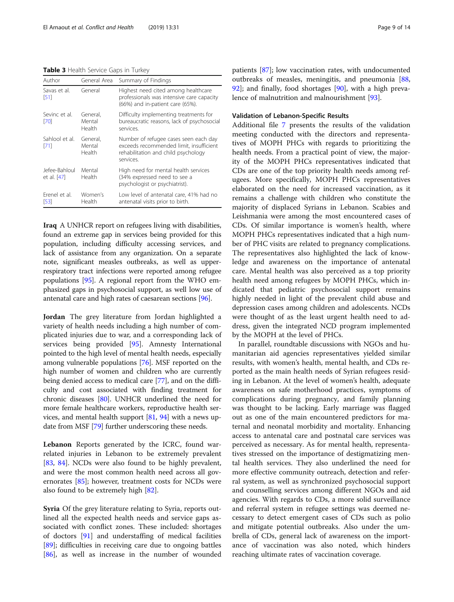<span id="page-8-0"></span>Table 3 Health Service Gaps in Turkey

| Author                       | General Area                 | Summary of Findings                                                                                                                  |
|------------------------------|------------------------------|--------------------------------------------------------------------------------------------------------------------------------------|
| Savas et al.<br>[51]         | General                      | Highest need cited among healthcare<br>professionals was intensive care capacity<br>(66%) and in-patient care (65%).                 |
| Sevinc et al.<br>[70]        | General.<br>Mental<br>Health | Difficulty implementing treatments for<br>bureaucratic reasons, lack of psychosocial<br>services.                                    |
| Sahlool et al.<br>$[71]$     | General,<br>Mental<br>Health | Number of refugee cases seen each day<br>exceeds recommended limit, insufficient<br>rehabilitation and child psychology<br>services. |
| Jefee-Bahloul<br>et al. [47] | Mental<br>Health             | High need for mental health services<br>(34% expressed need to see a<br>psychologist or psychiatrist).                               |
| Frenel et al.<br>[53]        | Women's<br>Health            | Low level of antenatal care, 41% had no<br>antenatal visits prior to birth.                                                          |

Iraq A UNHCR report on refugees living with disabilities, found an extreme gap in services being provided for this population, including difficulty accessing services, and lack of assistance from any organization. On a separate note, significant measles outbreaks, as well as upperrespiratory tract infections were reported among refugee populations [[95](#page-13-0)]. A regional report from the WHO emphasized gaps in psychosocial support, as well low use of antenatal care and high rates of caesarean sections [[96](#page-13-0)].

Jordan The grey literature from Jordan highlighted a variety of health needs including a high number of complicated injuries due to war, and a corresponding lack of services being provided [[95\]](#page-13-0). Amnesty International pointed to the high level of mental health needs, especially among vulnerable populations [[76](#page-13-0)]. MSF reported on the high number of women and children who are currently being denied access to medical care [[77](#page-13-0)], and on the difficulty and cost associated with finding treatment for chronic diseases [\[80\]](#page-13-0). UNHCR underlined the need for more female healthcare workers, reproductive health services, and mental health support [[81](#page-13-0), [94](#page-13-0)] with a news update from MSF [\[79\]](#page-13-0) further underscoring these needs.

Lebanon Reports generated by the ICRC, found warrelated injuries in Lebanon to be extremely prevalent [[83,](#page-13-0) [84\]](#page-13-0). NCDs were also found to be highly prevalent, and were the most common health need across all governorates [[85](#page-13-0)]; however, treatment costs for NCDs were also found to be extremely high [[82\]](#page-13-0).

Syria Of the grey literature relating to Syria, reports outlined all the expected health needs and service gaps associated with conflict zones. These included: shortages of doctors [\[91\]](#page-13-0) and understaffing of medical facilities [[89\]](#page-13-0); difficulties in receiving care due to ongoing battles [[86\]](#page-13-0), as well as increase in the number of wounded patients [[87](#page-13-0)]; low vaccination rates, with undocumented outbreaks of measles, meningitis, and pneumonia [[88](#page-13-0), [92\]](#page-13-0); and finally, food shortages [\[90](#page-13-0)], with a high prevalence of malnutrition and malnourishment [[93\]](#page-13-0).

#### Validation of Lebanon-Specific Results

Additional file [7](#page-11-0) presents the results of the validation meeting conducted with the directors and representatives of MOPH PHCs with regards to prioritizing the health needs. From a practical point of view, the majority of the MOPH PHCs representatives indicated that CDs are one of the top priority health needs among refugees. More specifically, MOPH PHCs representatives elaborated on the need for increased vaccination, as it remains a challenge with children who constitute the majority of displaced Syrians in Lebanon. Scabies and Leishmania were among the most encountered cases of CDs. Of similar importance is women's health, where MOPH PHCs representatives indicated that a high number of PHC visits are related to pregnancy complications. The representatives also highlighted the lack of knowledge and awareness on the importance of antenatal care. Mental health was also perceived as a top priority health need among refugees by MOPH PHCs, which indicated that pediatric psychosocial support remains highly needed in light of the prevalent child abuse and depression cases among children and adolescents. NCDs were thought of as the least urgent health need to address, given the integrated NCD program implemented by the MOPH at the level of PHCs.

In parallel, roundtable discussions with NGOs and humanitarian aid agencies representatives yielded similar results, with women's health, mental health, and CDs reported as the main health needs of Syrian refugees residing in Lebanon. At the level of women's health, adequate awareness on safe motherhood practices, symptoms of complications during pregnancy, and family planning was thought to be lacking. Early marriage was flagged out as one of the main encountered predictors for maternal and neonatal morbidity and mortality. Enhancing access to antenatal care and postnatal care services was perceived as necessary. As for mental health, representatives stressed on the importance of destigmatizing mental health services. They also underlined the need for more effective community outreach, detection and referral system, as well as synchronized psychosocial support and counselling services among different NGOs and aid agencies. With regards to CDs, a more solid surveillance and referral system in refugee settings was deemed necessary to detect emergent cases of CDs such as polio and mitigate potential outbreaks. Also under the umbrella of CDs, general lack of awareness on the importance of vaccination was also noted, which hinders reaching ultimate rates of vaccination coverage.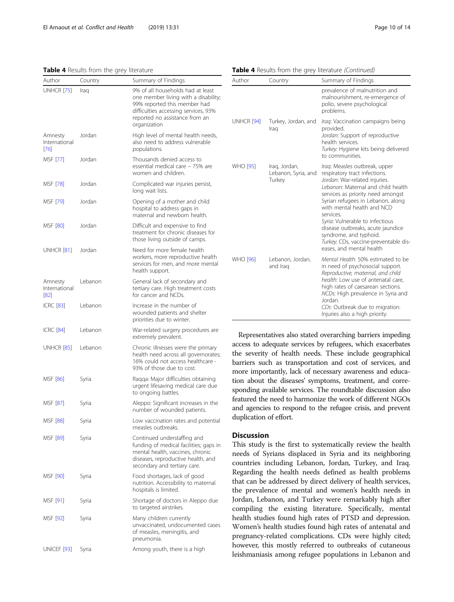# <span id="page-9-0"></span>Table 4 Results from the grey literature

| Author                             | Country | Summary of Findings                                                                                                                                                                                 |
|------------------------------------|---------|-----------------------------------------------------------------------------------------------------------------------------------------------------------------------------------------------------|
| <b>UNHCR [75]</b>                  | Iraq    | 9% of all households had at least<br>one member living with a disability;<br>99% reported this member had<br>difficulties accessing services, 93%<br>reported no assistance from an<br>organization |
| Amnesty<br>International<br>$[76]$ | Jordan  | High level of mental health needs,<br>also need to address vulnerable<br>populations.                                                                                                               |
| MSF [77]                           | Jordan  | Thousands denied access to<br>essential medical care - 75% are<br>women and children.                                                                                                               |
| MSF [78]                           | Jordan  | Complicated war injuries persist,<br>long wait lists.                                                                                                                                               |
| MSF [79]                           | Jordan  | Opening of a mother and child<br>hospital to address gaps in<br>maternal and newborn health.                                                                                                        |
| MSF [80]                           | Jordan  | Difficult and expensive to find<br>treatment for chronic diseases for<br>those living outside of camps.                                                                                             |
| <b>UNHCR</b> [81]                  | Jordan  | Need for more female health<br>workers, more reproductive health<br>services for men, and more mental<br>health support.                                                                            |
| Amnesty<br>International<br>[82]   | Lebanon | General lack of secondary and<br>tertiary care. High treatment costs<br>for cancer and NCDs.                                                                                                        |
| <b>ICRC [83]</b>                   | Lebanon | Increase in the number of<br>wounded patients and shelter<br>priorities due to winter.                                                                                                              |
| <b>ICRC</b> [84]                   | Lebanon | War-related surgery procedures are<br>extremely prevalent.                                                                                                                                          |
| <b>UNHCR</b> [85]                  | Lebanon | Chronic illnesses were the primary<br>health need across all governorates;<br>16% could not access healthcare -<br>93% of those due to cost.                                                        |
| MSF [86]                           | Syria   | Ragga: Major difficulties obtaining<br>urgent lifesaving medical care due<br>to ongoing battles.                                                                                                    |
| MSF [87]                           | Syria   | Aleppo: Significant increases in the<br>number of wounded patients.                                                                                                                                 |
| <b>MSF</b> [88]                    | Syria   | Low vaccination rates and potential<br>measles outbreaks.                                                                                                                                           |
| MSF [89]                           | Syria   | Continued understaffing and<br>funding of medical facilities; gaps in<br>mental health, vaccines, chronic<br>diseases, reproductive health, and<br>secondary and tertiary care.                     |
| <b>MSF [90]</b>                    | Syria   | Food shortages, lack of good<br>nutrition. Accessibility to maternal<br>hospitals is limited.                                                                                                       |
| MSF [91]                           | Syria   | Shortage of doctors in Aleppo due<br>to targeted airstrikes.                                                                                                                                        |
| MSF [92]                           | Syria   | Many children currently<br>unvaccinated, undocumented cases<br>of measles, meningitis, and<br>pneumonia.                                                                                            |

| UNICEF [93] Syria |  |  | Among youth, there is a high |
|-------------------|--|--|------------------------------|
|-------------------|--|--|------------------------------|

| Table 4 Results from the grey literature (Continued) |  |  |  |  |  |  |
|------------------------------------------------------|--|--|--|--|--|--|
|------------------------------------------------------|--|--|--|--|--|--|

| Author          | Country                                        | Summary of Findings                                                                                                                                                                                                                                                                                                                                                                                                              |
|-----------------|------------------------------------------------|----------------------------------------------------------------------------------------------------------------------------------------------------------------------------------------------------------------------------------------------------------------------------------------------------------------------------------------------------------------------------------------------------------------------------------|
|                 |                                                | prevalence of malnutrition and<br>malnourishment, re-emergence of<br>polio, severe psychological<br>problems.                                                                                                                                                                                                                                                                                                                    |
| UNHCR [94]      | Turkey, Jordan, and<br>Iraq                    | Iraq: Vaccination campaigns being<br>provided.<br>Jordan: Support of reproductive<br>health services.<br>Turkey: Hygiene kits being delivered<br>to communities.                                                                                                                                                                                                                                                                 |
| <b>WHO [95]</b> | Iraq, Jordan,<br>Lebanon, Syria, and<br>Turkey | Irag: Measles outbreak, upper<br>respiratory tract infections.<br>Jordan: War-related injuries.<br>Lebanon: Maternal and child health<br>services as priority need amongst<br>Syrian refugees in Lebanon, along<br>with mental health and NCD<br>services<br>Syria: Vulnerable to infectious<br>disease outbreaks, acute jaundice<br>syndrome, and typhoid.<br>Turkey: CDs, vaccine-preventable dis-<br>eases, and mental health |
| <b>WHO [96]</b> | Lebanon, Jordan,<br>and Iraq                   | Mental Health: 50% estimated to be<br>in need of psychosocial support.<br>Reproductive, maternal, and child<br>health: Low use of antenatal care,<br>high rates of caesarean sections.<br>NCDs: High prevalence in Syria and<br>Jordan.<br>CDs: Outbreak due to migration.<br>Injuries also a high priority.                                                                                                                     |

Representatives also stated overarching barriers impeding access to adequate services by refugees, which exacerbates the severity of health needs. These include geographical barriers such as transportation and cost of services, and more importantly, lack of necessary awareness and education about the diseases' symptoms, treatment, and corresponding available services. The roundtable discussion also featured the need to harmonize the work of different NGOs and agencies to respond to the refugee crisis, and prevent duplication of effort.

#### **Discussion**

This study is the first to systematically review the health needs of Syrians displaced in Syria and its neighboring countries including Lebanon, Jordan, Turkey, and Iraq. Regarding the health needs defined as health problems that can be addressed by direct delivery of health services, the prevalence of mental and women's health needs in Jordan, Lebanon, and Turkey were remarkably high after compiling the existing literature. Specifically, mental health studies found high rates of PTSD and depression. Women's health studies found high rates of antenatal and pregnancy-related complications. CDs were highly cited; however, this mostly referred to outbreaks of cutaneous leishmaniasis among refugee populations in Lebanon and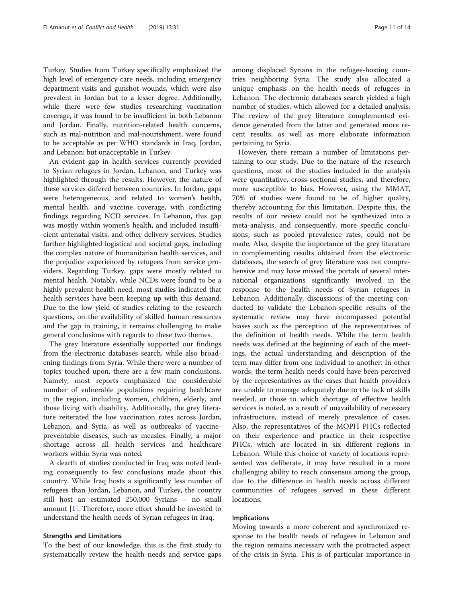Turkey. Studies from Turkey specifically emphasized the high level of emergency care needs, including emergency department visits and gunshot wounds, which were also prevalent in Jordan but to a lesser degree. Additionally, while there were few studies researching vaccination coverage, it was found to be insufficient in both Lebanon and Jordan. Finally, nutrition-related health concerns, such as mal-nutrition and mal-nourishment, were found to be acceptable as per WHO standards in Iraq, Jordan, and Lebanon; but unacceptable in Turkey.

An evident gap in health services currently provided to Syrian refugees in Jordan, Lebanon, and Turkey was highlighted through the results. However, the nature of these services differed between countries. In Jordan, gaps were heterogeneous, and related to women's health, mental health, and vaccine coverage, with conflicting findings regarding NCD services. In Lebanon, this gap was mostly within women's health, and included insufficient antenatal visits, and other delivery services. Studies further highlighted logistical and societal gaps, including the complex nature of humanitarian health services, and the prejudice experienced by refugees from service providers. Regarding Turkey, gaps were mostly related to mental health. Notably, while NCDs were found to be a highly prevalent health need, most studies indicated that health services have been keeping up with this demand. Due to the low yield of studies relating to the research questions, on the availability of skilled human resources and the gap in training, it remains challenging to make general conclusions with regards to these two themes.

The grey literature essentially supported our findings from the electronic databases search, while also broadening findings from Syria. While there were a number of topics touched upon, there are a few main conclusions. Namely, most reports emphasized the considerable number of vulnerable populations requiring healthcare in the region, including women, children, elderly, and those living with disability. Additionally, the grey literature reiterated the low vaccination rates across Jordan, Lebanon, and Syria, as well as outbreaks of vaccinepreventable diseases, such as measles. Finally, a major shortage across all health services and healthcare workers within Syria was noted.

A dearth of studies conducted in Iraq was noted leading consequently to few conclusions made about this country. While Iraq hosts a significantly less number of refugees than Jordan, Lebanon, and Turkey, the country still host an estimated 250,000 Syrians – no small amount [[1](#page-11-0)]. Therefore, more effort should be invested to understand the health needs of Syrian refugees in Iraq.

#### Strengths and Limitations

To the best of our knowledge, this is the first study to systematically review the health needs and service gaps among displaced Syrians in the refugee-hosting countries neighboring Syria. The study also allocated a unique emphasis on the health needs of refugees in Lebanon. The electronic databases search yielded a high number of studies, which allowed for a detailed analysis. The review of the grey literature complemented evidence generated from the latter and generated more recent results, as well as more elaborate information pertaining to Syria.

However, there remain a number of limitations pertaining to our study. Due to the nature of the research questions, most of the studies included in the analysis were quantitative, cross-sectional studies, and therefore, more susceptible to bias. However, using the MMAT, 70% of studies were found to be of higher quality, thereby accounting for this limitation. Despite this, the results of our review could not be synthesized into a meta-analysis, and consequently, more specific conclusions, such as pooled prevalence rates, could not be made. Also, despite the importance of the grey literature in complementing results obtained from the electronic databases, the search of grey literature was not comprehensive and may have missed the portals of several international organizations significantly involved in the response to the health needs of Syrian refugees in Lebanon. Additionally, discussions of the meeting conducted to validate the Lebanon-specific results of the systematic review may have encompassed potential biases such as the perception of the representatives of the definition of health needs. While the term health needs was defined at the beginning of each of the meetings, the actual understanding and description of the term may differ from one individual to another. In other words, the term health needs could have been perceived by the representatives as the cases that health providers are unable to manage adequately due to the lack of skills needed, or those to which shortage of effective health services is noted, as a result of unavailability of necessary infrastructure, instead of merely prevalence of cases. Also, the representatives of the MOPH PHCs reflected on their experience and practice in their respective PHCs, which are located in six different regions in Lebanon. While this choice of variety of locations represented was deliberate, it may have resulted in a more challenging ability to reach consensus among the group, due to the difference in health needs across different communities of refugees served in these different locations.

#### Implications

Moving towards a more coherent and synchronized response to the health needs of refugees in Lebanon and the region remains necessary with the protracted aspect of the crisis in Syria. This is of particular importance in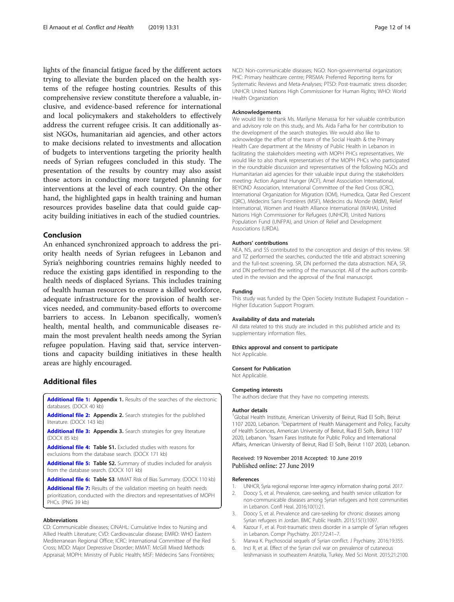<span id="page-11-0"></span>lights of the financial fatigue faced by the different actors trying to alleviate the burden placed on the health systems of the refugee hosting countries. Results of this comprehensive review constitute therefore a valuable, inclusive, and evidence-based reference for international and local policymakers and stakeholders to effectively address the current refugee crisis. It can additionally assist NGOs, humanitarian aid agencies, and other actors to make decisions related to investments and allocation of budgets to interventions targeting the priority health needs of Syrian refugees concluded in this study. The presentation of the results by country may also assist those actors in conducting more targeted planning for interventions at the level of each country. On the other hand, the highlighted gaps in health training and human resources provides baseline data that could guide capacity building initiatives in each of the studied countries.

### Conclusion

An enhanced synchronized approach to address the priority health needs of Syrian refugees in Lebanon and Syria's neighboring countries remains highly needed to reduce the existing gaps identified in responding to the health needs of displaced Syrians. This includes training of health human resources to ensure a skilled workforce, adequate infrastructure for the provision of health services needed, and community-based efforts to overcome barriers to access. In Lebanon specifically, women's health, mental health, and communicable diseases remain the most prevalent health needs among the Syrian refugee population. Having said that, service interventions and capacity building initiatives in these health areas are highly encouraged.

## Additional files

[Additional file 1:](https://doi.org/10.1186/s13031-019-0211-3) Appendix 1. Results of the searches of the electronic databases. (DOCX 40 kb)

[Additional file 2:](https://doi.org/10.1186/s13031-019-0211-3) Appendix 2. Search strategies for the published literature. (DOCX 143 kb)

[Additional file 3:](https://doi.org/10.1186/s13031-019-0211-3) Appendix 3. Search strategies for grey literature (DOCX 85 kb)

[Additional file 4:](https://doi.org/10.1186/s13031-019-0211-3) Table S1. Excluded studies with reasons for exclusions from the database search. (DOCX 171 kb)

[Additional file 5:](https://doi.org/10.1186/s13031-019-0211-3) Table S2. Summary of studies included for analysis from the database search. (DOCX 101 kb)

[Additional file 6:](https://doi.org/10.1186/s13031-019-0211-3) Table S3. MMAT Risk of Bias Summary. (DOCX 110 kb)

[Additional file 7:](https://doi.org/10.1186/s13031-019-0211-3) Results of the validation meeting on health needs prioritization, conducted with the directors and representatives of MOPH PHCs. (PNG 39 kb)

#### Abbreviations

CD: Communicable diseases; CINAHL: Cumulative Index to Nursing and Allied Health Literature; CVD: Cardiovascular disease; EMRO: WHO Eastern Mediterranean Regional Office; ICRC: International Committee of the Red Cross; MDD: Major Depressive Disorder; MMAT: McGill Mixed Methods Appraisal; MOPH: Ministry of Public Health; MSF: Médecins Sans Frontières; NCD: Non-communicable diseases; NGO: Non-governmental organization; PHC: Primary healthcare centre; PRISMA: Preferred Reporting Items for Systematic Reviews and Meta-Analyses; PTSD: Post-traumatic stress disorder; UNHCR: United Nations High Commissioner for Human Rights; WHO: World Health Organization

#### Acknowledgements

We would like to thank Ms. Marilyne Menassa for her valuable contribution and advisory role on this study, and Ms. Aida Farha for her contribution to the development of the search strategies. We would also like to acknowledge the effort of the team of the Social Health & the Primary Health Care department at the Ministry of Public Health in Lebanon in facilitating the stakeholders meeting with MOPH PHCs representatives. We would like to also thank representatives of the MOPH PHCs who participated in the roundtable discussion and representatives of the following NGOs and Humanitarian aid agencies for their valuable input during the stakeholders meeting: Action Against Hunger (ACF), Amel Association International, BEYOND Association, International Committee of the Red Cross (ICRC), International Organization for Migration (IOM), Humedica, Qatar Red Crescent (QRC), Médecins Sans Frontières (MSF), Médecins du Monde (MdM), Relief International, Women and Health Alliance International (WAHA), United Nations High Commissioner for Refugees (UNHCR), United Nations Population Fund (UNFPA), and Union of Relief and Development Associations (URDA).

#### Authors' contributions

NEA, NS, and SS contributed to the conception and design of this review. SR and TZ performed the searches, conducted the title and abstract screening and the full-text screening. SR, DN performed the data abstraction. NEA, SR, and DN performed the writing of the manuscript. All of the authors contributed in the revision and the approval of the final manuscript.

#### Funding

This study was funded by the Open Society Institute Budapest Foundation – Higher Education Support Program.

#### Availability of data and materials

All data related to this study are included in this published article and its supplementary information files.

#### Ethics approval and consent to participate

Not Applicable.

#### Consent for Publication

Not Applicable.

#### Competing interests

The authors declare that they have no competing interests.

#### Author details

<sup>1</sup>Global Health Institute, American University of Beirut, Riad El Solh, Beirut 1107 2020, Lebanon. <sup>2</sup>Department of Health Management and Policy, Faculty of Health Sciences, American University of Beirut, Riad El Solh, Beirut 1107 2020, Lebanon. <sup>3</sup>Issam Fares Institute for Public Policy and International Affairs, American University of Beirut, Riad El Solh, Beirut 1107 2020, Lebanon.

#### Received: 19 November 2018 Accepted: 10 June 2019 Published online: 27 June 2019

#### References

- 1. UNHCR, Syria regional response: Inter-agency information sharing portal. 2017.
- 2. Doocy S, et al. Prevalence, care-seeking, and health service utilization for non-communicable diseases among Syrian refugees and host communities in Lebanon. Confl Heal. 2016;10(1):21.
- 3. Doocy S, et al. Prevalence and care-seeking for chronic diseases among Syrian refugees in Jordan. BMC Public Health. 2015;15(1):1097.
- 4. Kazour F, et al. Post-traumatic stress disorder in a sample of Syrian refugees in Lebanon. Compr Psychiatry. 2017;72:41–7.
- 5. Marwa K. Psychosocial sequels of Syrian conflict. J Psychiatry. 2016;19:355.
- 6. Inci R, et al. Effect of the Syrian civil war on prevalence of cutaneous leishmaniasis in southeastern Anatolia, Turkey. Med Sci Monit. 2015;21:2100.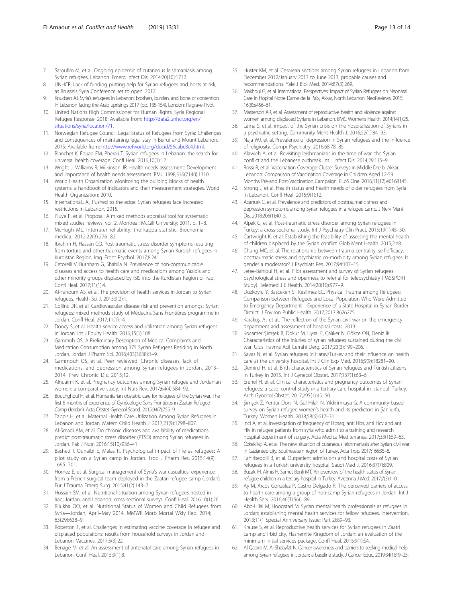- <span id="page-12-0"></span>7. Saroufim M, et al. Ongoing epidemic of cutaneous leishmaniasis among Syrian refugees, Lebanon. Emerg Infect Dis. 2014;20(10):1712.
- UNHCR, Lack of funding putting help for Syrian refugees and hosts at risk. as Brussels Syria Conference set to open. 2017.
- Knudsen AJ. Syria's refugees in Lebanon: brothers, burden, and bone of contention. In Lebanon facing the Arab uprisings 2017 (pp. 135-154). London: Palgrave Pivot.
- 10. United Nations High Commissioner for Human Rights. Syria Regional Refugee Response. 2018; Available from: [http://data2.unhcr.org/en/](http://data2.unhcr.org/en/situations/syria/location/71) [situations/syria/location/71](http://data2.unhcr.org/en/situations/syria/location/71).
- 11. Norwegian Refugee Council. Legal Status of Refugees from Syria: Challenges and consequences of maintaining legal stay in Beirut and Mount Lebanon. 2015; Available from: [http://www.refworld.org/docid/56cabc8c4.html.](http://www.refworld.org/docid/56cabc8c4.html)
- 12. Blanchet K, Fouad FM, Pherali T. Syrian refugees in Lebanon: the search for universal health coverage. Confl Heal. 2016;10(1):12.
- 13. Wright J, Williams R, Wilkinson JR. Health needs assessment: Development and importance of health needs assessment. BMJ. 1998;316(7140):1310.
- 14. World Health Organization. Monitoring the building blocks of health systems: a handbook of indicators and their measurement strategies. World Health Organization; 2010.
- 15. International., A., Pushed to the edge: Syrian refugees face increased restrictions in Lebanon. 2015.
- 16. Pluye P, et al. Proposal: A mixed methods appraisal tool for systematic mixed studies reviews, vol. 2. Montréal: McGill University; 2011. p. 1–8.
- 17. McHugh ML. Interrater reliability: the kappa statistic. Biochemia medica. 2012;22(3):276–82.
- 18. Ibrahim H, Hassan CQ. Post-traumatic stress disorder symptoms resulting from torture and other traumatic events among Syrian Kurdish refugees in Kurdistan Region, Iraq. Front Psychol. 2017;8:241.
- 19. Cetorelli V, Burnham G, Shabila N. Prevalence of non-communicable diseases and access to health care and medications among Yazidis and other minority groups displaced by ISIS into the Kurdistan Region of Iraq. Confl Heal. 2017;11(1):4.
- 20. Al-Fahoum AS, et al. The provision of health services in Jordan to Syrian refugees. Health Sci J. 2015;9(2):1.
- 21. Collins DR, et al. Cardiovascular disease risk and prevention amongst Syrian refugees: mixed methods study of Médecins Sans Frontières programme in Jordan. Confl Heal. 2017;11(1):14.
- 22. Doocy S, et al. Health service access and utilization among Syrian refugees in Jordan. Int J Equity Health. 2016;15(1):108.
- 23. Gammoh OS. A Preliminary Description of Medical Complaints and Medication Consumption among 375 Syrian Refugees Residing in North Jordan. Jordan J Pharm Sci. 2016;403(3638):1–9.
- 24. Gammouh OS, et al. Peer reviewed: Chronic diseases, lack of medications, and depression among Syrian refugees in Jordan, 2013– 2014. Prev Chronic Dis. 2015;12.
- 25. Alnuaimi K, et al. Pregnancy outcomes among Syrian refugee and Jordanian women: a comparative study. Int Nurs Rev. 2017;64(4):584–92.
- 26. Bouchghoul H, et al. Humanitarian obstetric care for refugees of the Syrian war. The first 6 months of experience of Gynécologie Sans Frontières in Zaatari Refugee Camp (Jordan). Acta Obstet Gynecol Scand. 2015;94(7):755–9.
- 27. Tappis H, et al. Maternal Health Care Utilization Among Syrian Refugees in Lebanon and Jordan. Matern Child Health J. 2017;21(9):1798–807.
- 28. Al-Smadi AM, et al. Do chronic diseases and availability of medications predict post-traumatic stress disorder (PTSD) among Syrian refugees in Jordan. Pak J Nutr. 2016;15(10):936–41.
- 29. Basheti I, Qunaibi E, Malas R. Psychological impact of life as refugees: A pilot study on a Syrian camp in Jordan. Trop J Pharm Res. 2015;14(9): 1695–701.
- 30. Hornez E, et al. Surgical management of Syria's war casualties: experience from a French surgical team deployed in the Zaatari refugee camp (Jordan). Eur J Trauma Emerg Surg. 2015;41(2):143–7.
- 31. Hossain SM, et al. Nutritional situation among Syrian refugees hosted in Iraq, Jordan, and Lebanon: cross sectional surveys. Confl Heal. 2016;10(1):26.
- 32. Bilukha OO, et al. Nutritional Status of Women and Child Refugees from Syria—Jordan, April–May 2014. MMWR Morb Mortal Wkly Rep. 2014; 63(29):638–9.
- 33. Roberton T, et al. Challenges in estimating vaccine coverage in refugee and displaced populations: results from household surveys in Jordan and Lebanon. Vaccines. 2017;5(3):22.
- 34. Benage M, et al. An assessment of antenatal care among Syrian refugees in Lebanon. Confl Heal. 2015;9(1):8.
- 35. Huster KM, et al. Cesarean sections among Syrian refugees in Lebanon from December 2012/January 2013 to June 2013: probable causes and recommendations. Yale J Biol Med. 2014;87(3):269.
- 36. Makhoul G, et al. International Perspectives: Impact of Syrian Refugees on Neonatal Care in Hopital Notre Dame de la Paix, Akkar, North Lebanon. NeoReviews. 2015; 16(8):e456–61.
- 37. Masterson AR, et al. Assessment of reproductive health and violence against women among displaced Syrians in Lebanon. BMC Womens Health. 2014;14(1):25.
- 38. Lama S, et al. impact of the Syrian crisis on the hospitalization of Syrians in a psychiatric setting. Community Ment Health J. 2016;52(1):84–93.
- 39. Naja WJ, et al. Prevalence of depression in Syrian refugees and the influence of religiosity. Compr Psychiatry. 2016;68:78–85.
- 40. Alawieh A, et al. Revisiting leishmaniasis in the time of war: the Syrian conflict and the Lebanese outbreak. Int J Infect Dis. 2014;29:115–9.
- 41. Rossi R, et al. Vaccination Coverage Cluster Surveys in Middle Dreib–Akkar, Lebanon: Comparison of Vaccination Coverage in Children Aged 12-59 Months Pre-and Post-Vaccination Campaign. PLoS One. 2016;11(12):e0168145.
- 42. Strong J, et al. Health status and health needs of older refugees from Syria in Lebanon. Confl Heal. 2015;9(1):12.
- 43. Acarturk C, et al. Prevalence and predictors of posttraumatic stress and depression symptoms among Syrian refugees in a refugee camp. J Nerv Ment Dis. 2018;206(1):40–5.
- 44. Alpak G, et al. Post-traumatic stress disorder among Syrian refugees in Turkey: a cross-sectional study. Int J Psychiatry Clin Pract. 2015;19(1):45–50.
- Cartwright K, et al. Establishing the feasibility of assessing the mental health of children displaced by the Syrian conflict. Glob Ment Health. 2015;2:e8.
- 46. Chung MC, et al. The relationship between trauma centrality, self-efficacy, posttraumatic stress and psychiatric co-morbidity among Syrian refugees: Is gender a moderator? J Psychiatr Res. 2017;94:107–15.
- 47. Jefee-Bahloul H, et al. Pilot assessment and survey of Syrian refugees' psychological stress and openness to referral for telepsychiatry (PASSPORT Study). Telemed J E Health. 2014;20(10):977–9.
- 48. Duzkoylu Y, Basceken SI, Kesilmez EC. Physical Trauma among Refugees: Comparison between Refugees and Local Population Who Were Admitted to Emergency Department—Experience of a State Hospital in Syrian Border District. J Environ Public Health. 2017;2017:8626275.
- 49. Karakus, A., et al., The reflection of the Syrian civil war on the emergency department and assessment of hospital costs. 2013.
- 50. Kocamer Şimşek B, Dokur M, Uysal E, Çalıker N, Gökçe ON, Deniz İK. Characteristics of the injuries of syrian refugees sustained during the civil war. Ulus Travma Acil Cerrahi Derg. 2017;23(3):199–206.
- 51. Savas N, et al. Syrian refugees in Hatay/Turkey and their influence on health care at the university hospital. Int J Clin Exp Med. 2016;9(9):18281–90.
- 52. Demirci H, et al. Birth characteristics of Syrian refugees and Turkish citizens in Turkey in 2015. Int J Gynecol Obstet. 2017;137(1):63–6.
- 53. Erenel H, et al. Clinical characteristics and pregnancy outcomes of Syrian refugees: a case–control study in a tertiary care hospital in Istanbul, Turkey. Arch Gynecol Obstet. 2017;295(1):45–50.
- 54. Şimşek Z, Yentur Doni N, Gül Hilali N, Yildirimkaya G. A community-based survey on Syrian refugee women's health and its predictors in Şanliurfa, Turkey. Women Health. 2018;58(6):617–31.
- 55. Inci A, et al. Investigation of frequency of Hbsag, anti Hbs, anti Hcv and anti Hiv in refugee patients from syria who admit to a training and research hospital department of surgery. Acta Medica Mediterranea. 2017;33(1):59–63.
- 56. Özkeklikçi A, et al. The new situation of cutaneous leishmaniasis after Syrian civil war in Gaziantep city, Southeastern region of Turkey. Acta Trop. 2017;166:35–8.
- 57. Tahirbegolli B, et al. Outpatient admissions and hospital costs of Syrian refugees in a Turkish university hospital. Saudi Med J. 2016;37(7):809.
- 58. Bucak IH, Almis H, Samet Benli MT. An overview of the health status of Syrian refugee children in a tertiary hospital in Turkey. Avicenna J Med. 2017;7(3):110.
- 59. Ay M, Arcos González P, Castro Delgado R. The perceived barriers of access to health care among a group of non-camp Syrian refugees in Jordan. Int J Health Serv. 2016;46(3):566–89.
- 60. Abo-Hilal M, Hoogstad M. Syrian mental health professionals as refugees in Jordan: establishing mental health services for fellow refugees. Intervention. 2013;11(1 Special Anniversary Issue: Part 2):89–93.
- 61. Krause S, et al. Reproductive health services for Syrian refugees in Zaatri camp and Irbid city, Hashemite Kingdom of Jordan: an evaluation of the minimum initial services package. Confl Heal. 2015;9(1):S4.
- 62. Al Qadire M, Al-Shdayfat N. Cancer awareness and barriers to seeking medical help among Syrian refugees in Jordan: a baseline study. J Cancer Educ. 2019;34(1):19–25.